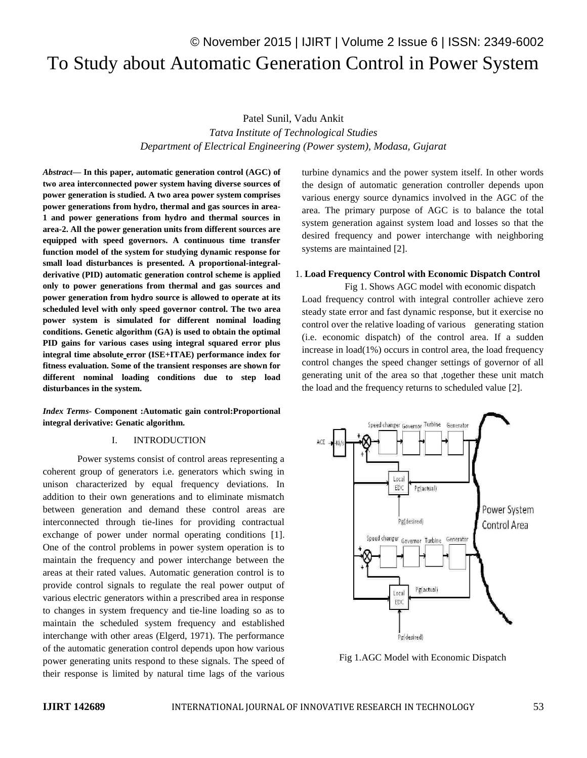# © November 2015 | IJIRT | Volume 2 Issue 6 | ISSN: 2349-6002 To Study about Automatic Generation Control in Power System

Patel Sunil, Vadu Ankit *Tatva Institute of Technological Studies Department of Electrical Engineering (Power system), Modasa, Gujarat*

*Abstract***— In this paper, automatic generation control (AGC) of two area interconnected power system having diverse sources of power generation is studied. A two area power system comprises power generations from hydro, thermal and gas sources in area-1 and power generations from hydro and thermal sources in area-2. All the power generation units from different sources are equipped with speed governors. A continuous time transfer function model of the system for studying dynamic response for small load disturbances is presented. A proportional-integralderivative (PID) automatic generation control scheme is applied only to power generations from thermal and gas sources and power generation from hydro source is allowed to operate at its scheduled level with only speed governor control. The two area power system is simulated for different nominal loading conditions. Genetic algorithm (GA) is used to obtain the optimal PID gains for various cases using integral squared error plus integral time absolute error (ISE+ITAE) performance index for fitness evaluation. Some of the transient responses are shown for different nominal loading conditions due to step load disturbances in the system.**

*Index Terms-* **Component :Automatic gain control:Proportional integral derivative: Genatic algorithm.**

#### I. INTRODUCTION

Power systems consist of control areas representing a coherent group of generators i.e. generators which swing in unison characterized by equal frequency deviations. In addition to their own generations and to eliminate mismatch between generation and demand these control areas are interconnected through tie-lines for providing contractual exchange of power under normal operating conditions [1]. One of the control problems in power system operation is to maintain the frequency and power interchange between the areas at their rated values. Automatic generation control is to provide control signals to regulate the real power output of various electric generators within a prescribed area in response to changes in system frequency and tie-line loading so as to maintain the scheduled system frequency and established interchange with other areas (Elgerd, 1971). The performance of the automatic generation control depends upon how various power generating units respond to these signals. The speed of their response is limited by natural time lags of the various

turbine dynamics and the power system itself. In other words the design of automatic generation controller depends upon various energy source dynamics involved in the AGC of the area. The primary purpose of AGC is to balance the total system generation against system load and losses so that the desired frequency and power interchange with neighboring systems are maintained [2].

### 1. **Load Frequency Control with Economic Dispatch Control**

Fig 1. Shows AGC model with economic dispatch Load frequency control with integral controller achieve zero steady state error and fast dynamic response, but it exercise no control over the relative loading of various generating station (i.e. economic dispatch) of the control area. If a sudden increase in load(1%) occurs in control area, the load frequency control changes the speed changer settings of governor of all generating unit of the area so that ,together these unit match the load and the frequency returns to scheduled value [2].



Fig 1.AGC Model with Economic Dispatch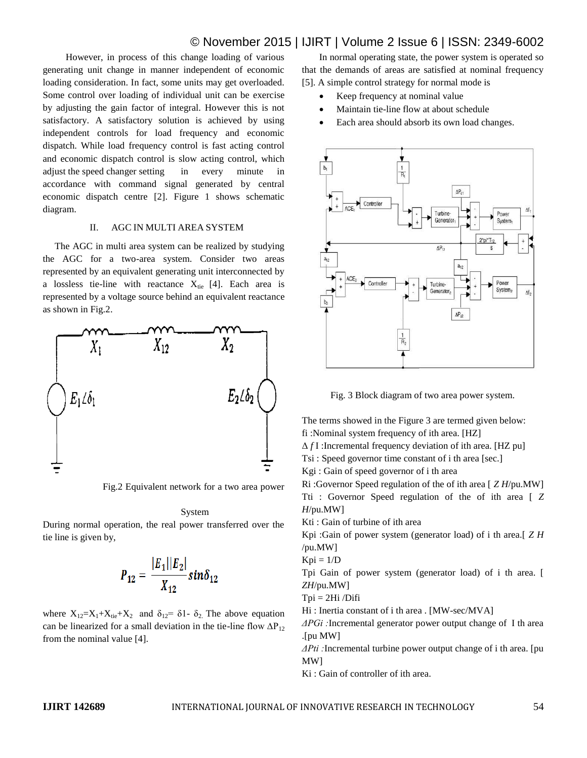# © November 2015 | IJIRT | Volume 2 Issue 6 | ISSN: 2349-6002

However, in process of this change loading of various generating unit change in manner independent of economic loading consideration. In fact, some units may get overloaded. Some control over loading of individual unit can be exercise by adjusting the gain factor of integral. However this is not satisfactory. A satisfactory solution is achieved by using independent controls for load frequency and economic dispatch. While load frequency control is fast acting control and economic dispatch control is slow acting control, which adjust the speed changer setting in every minute in accordance with command signal generated by central economic dispatch centre [2]. Figure 1 shows schematic diagram.

### II. AGC IN MULTI AREA SYSTEM

 The AGC in multi area system can be realized by studying the AGC for a two-area system. Consider two areas represented by an equivalent generating unit interconnected by a lossless tie-line with reactance  $X_{tie}$  [4]. Each area is represented by a voltage source behind an equivalent reactance as shown in Fig.2.



Fig.2 Equivalent network for a two area power

#### System

During normal operation, the real power transferred over the tie line is given by,

$$
P_{12} = \frac{|E_1||E_2|}{X_{12}} sin \delta_{12}
$$

where  $X_{12}=X_1+X_{tie}+X_2$  and  $\delta_{12}=\delta_1-\delta_2$ . The above equation can be linearized for a small deviation in the tie-line flow  $\Delta P_{12}$ from the nominal value [4].

In normal operating state, the power system is operated so that the demands of areas are satisfied at nominal frequency [5]. A simple control strategy for normal mode is

- Keep frequency at nominal value
- Maintain tie-line flow at about schedule
- Each area should absorb its own load changes.



Fig. 3 Block diagram of two area power system.

The terms showed in the Figure 3 are termed given below: fi :Nominal system frequency of ith area. [HZ] Δ *f* I :Incremental frequency deviation of ith area. [HZ pu] Tsi : Speed governor time constant of i th area [sec.] Kgi : Gain of speed governor of i th area Ri :Governor Speed regulation of the of ith area [ *Z H*/pu.MW]

Tti : Governor Speed regulation of the of ith area [ *Z H*/pu.MW]

Kti : Gain of turbine of ith area

Kpi :Gain of power system (generator load) of i th area.[ *Z H*  /pu.MW]

 $Kpi = 1/D$ 

Tpi Gain of power system (generator load) of i th area. [ *ZH*/pu.MW]

$$
Tpi = 2Hi / Diff
$$

Hi : Inertia constant of i th area . [MW-sec/MVA]

*ΔPGi :*Incremental generator power output change of I th area .[pu MW]

*ΔPti :*Incremental turbine power output change of i th area. [pu MW]

Ki : Gain of controller of ith area.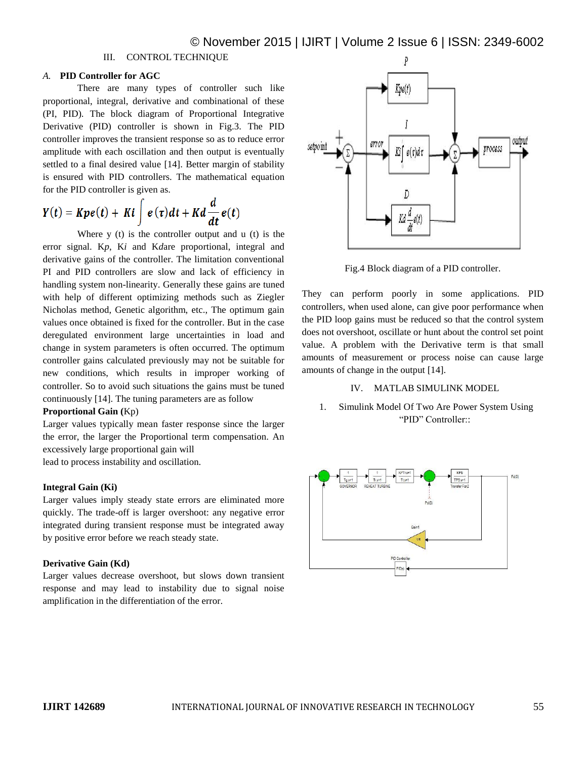# III. CONTROL TECHNIQUE

# *A.* **PID Controller for AGC**

There are many types of controller such like proportional, integral, derivative and combinational of these (PI, PID). The block diagram of Proportional Integrative Derivative (PID) controller is shown in Fig.3. The PID controller improves the transient response so as to reduce error amplitude with each oscillation and then output is eventually settled to a final desired value [14]. Better margin of stability is ensured with PID controllers. The mathematical equation for the PID controller is given as.

$$
Y(t) = Kpe(t) + Ki \int e(\tau)dt + Kd\frac{d}{dt}e(t)
$$

Where  $y(t)$  is the controller output and  $u(t)$  is the error signal. K*p*, K*i* and K*d*are proportional, integral and derivative gains of the controller. The limitation conventional PI and PID controllers are slow and lack of efficiency in handling system non-linearity. Generally these gains are tuned with help of different optimizing methods such as Ziegler Nicholas method, Genetic algorithm, etc., The optimum gain values once obtained is fixed for the controller. But in the case deregulated environment large uncertainties in load and change in system parameters is often occurred. The optimum controller gains calculated previously may not be suitable for new conditions, which results in improper working of controller. So to avoid such situations the gains must be tuned continuously [14]. The tuning parameters are as follow

# **Proportional Gain (**Kp)

Larger values typically mean faster response since the larger the error, the larger the Proportional term compensation. An excessively large proportional gain will

lead to process instability and oscillation.

### **Integral Gain (Ki)**

Larger values imply steady state errors are eliminated more quickly. The trade-off is larger overshoot: any negative error integrated during transient response must be integrated away by positive error before we reach steady state.

## **Derivative Gain (Kd)**

Larger values decrease overshoot, but slows down transient response and may lead to instability due to signal noise amplification in the differentiation of the error.



Fig.4 Block diagram of a PID controller.

They can perform poorly in some applications. PID controllers, when used alone, can give poor performance when the PID loop gains must be reduced so that the control system does not overshoot, oscillate or hunt about the control set point value. A problem with the Derivative term is that small amounts of measurement or process noise can cause large amounts of change in the output [14].

#### IV. MATLAB SIMULINK MODEL

1. Simulink Model Of Two Are Power System Using "PID" Controller::

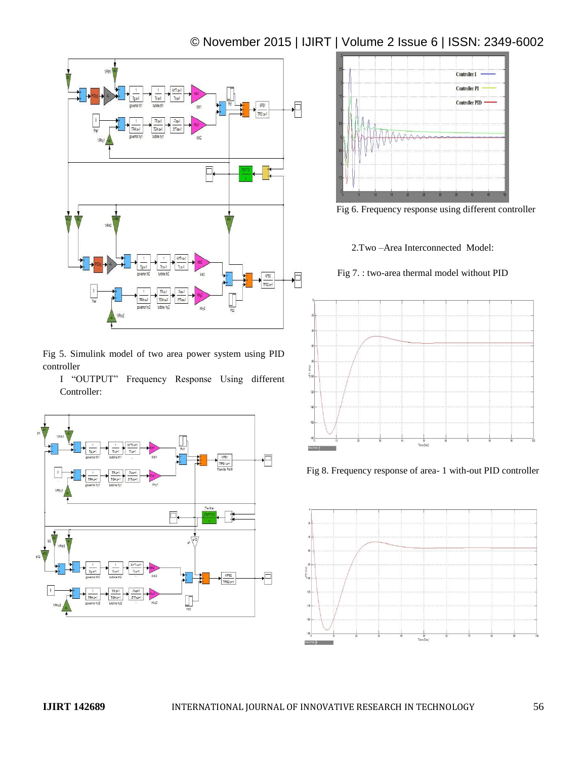# © November 2015 | IJIRT | Volume 2 Issue 6 | ISSN: 2349-6002



Fig 5. Simulink model of two area power system using PID controller

I "OUTPUT" Frequency Response Using different Controller:





Fig 6. Frequency response using different controller

2.Two –Area Interconnected Model:

Fig 7. : two-area thermal model without PID